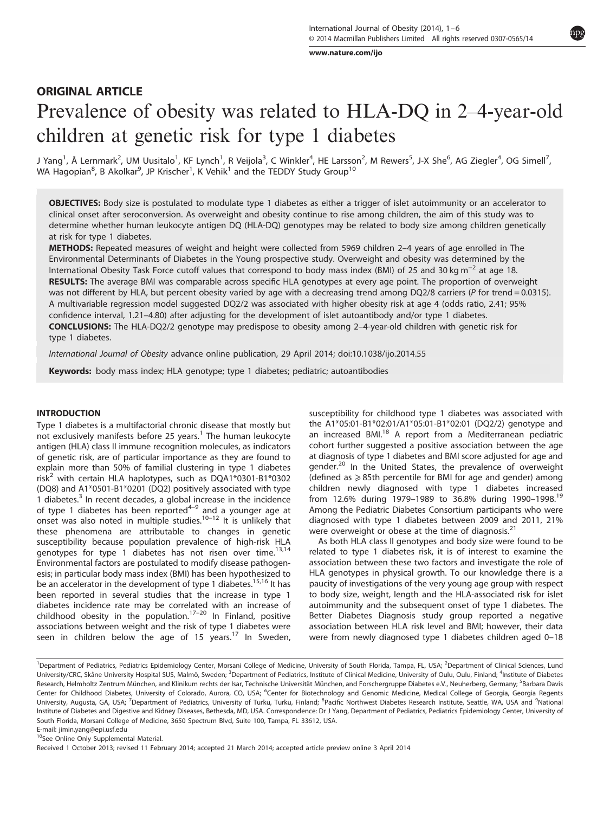[www.nature.com/ijo](http://www.nature.com/ijo)

# ORIGINAL ARTICLE Prevalence of obesity was related to HLA-DQ in 2–4-year-old children at genetic risk for type 1 diabetes

J Yang<sup>1</sup>, Å Lernmark<sup>2</sup>, UM Uusitalo<sup>1</sup>, KF Lynch<sup>1</sup>, R Veijola<sup>3</sup>, C Winkler<sup>4</sup>, HE Larsson<sup>2</sup>, M Rewers<sup>5</sup>, J-X She<sup>6</sup>, AG Ziegler<sup>4</sup>, OG Simell<sup>7</sup>, WA Hagopian $^8$ , B Akolkar $^9$ , JP Krischer $^1$ , K Vehik $^1$  and the TEDDY Study Group $^{10}$ 

OBJECTIVES: Body size is postulated to modulate type 1 diabetes as either a trigger of islet autoimmunity or an accelerator to clinical onset after seroconversion. As overweight and obesity continue to rise among children, the aim of this study was to determine whether human leukocyte antigen DQ (HLA-DQ) genotypes may be related to body size among children genetically at risk for type 1 diabetes.

METHODS: Repeated measures of weight and height were collected from 5969 children 2–4 years of age enrolled in The Environmental Determinants of Diabetes in the Young prospective study. Overweight and obesity was determined by the International Obesity Task Force cutoff values that correspond to body mass index (BMI) of 25 and 30 kg m−<sup>2</sup> at age 18. RESULTS: The average BMI was comparable across specific HLA genotypes at every age point. The proportion of overweight was not different by HLA, but percent obesity varied by age with a decreasing trend among DQ2/8 carriers (P for trend = 0.0315). A multivariable regression model suggested DQ2/2 was associated with higher obesity risk at age 4 (odds ratio, 2.41; 95% confidence interval, 1.21–4.80) after adjusting for the development of islet autoantibody and/or type 1 diabetes. CONCLUSIONS: The HLA-DQ2/2 genotype may predispose to obesity among 2–4-year-old children with genetic risk for type 1 diabetes.

International Journal of Obesity advance online publication, 29 April 2014; doi:[10.1038/ijo.2014.55](http://dx.doi.org/10.1038/ijo.2014.55)

Keywords: body mass index; HLA genotype; type 1 diabetes; pediatric; autoantibodies

## INTRODUCTION

Type 1 diabetes is a multifactorial chronic disease that mostly but not exclusively manifests before 25 years.<sup>[1](#page-4-0)</sup> The human leukocyte antigen (HLA) class II immune recognition molecules, as indicators of genetic risk, are of particular importance as they are found to explain more than 50% of familial clustering in type 1 diabetes risk<sup>[2](#page-4-0)</sup> with certain HLA haplotypes, such as DQA1\*0301-B1\*0302 (DQ8) and A1\*0501-B1\*0201 (DQ2) positively associated with type 1 diabetes. $3$  In recent decades, a global increase in the incidence of type 1 diabetes has been reported $4-9$  $4-9$  and a younger age at onset was also noted in multiple studies.<sup>[10](#page-4-0)-12</sup> It is unlikely that these phenomena are attributable to changes in genetic susceptibility because population prevalence of high-risk HLA genotypes for type 1 diabetes has not risen over time.<sup>[13,14](#page-4-0)</sup> Environmental factors are postulated to modify disease pathogenesis; in particular body mass index (BMI) has been hypothesized to be an accelerator in the development of type 1 diabetes.<sup>[15,16](#page-4-0)</sup> It has been reported in several studies that the increase in type 1 diabetes incidence rate may be correlated with an increase of childhood obesity in the population. $17-20$  $17-20$  In Finland, positive associations between weight and the risk of type 1 diabetes were seen in children below the age of 15 years.<sup>[17](#page-4-0)</sup> In Sweden, susceptibility for childhood type 1 diabetes was associated with the A1\*05:01-B1\*02:01/A1\*05:01-B1\*02:01 (DQ2/2) genotype and an increased BMI.<sup>[18](#page-4-0)</sup> A report from a Mediterranean pediatric cohort further suggested a positive association between the age at diagnosis of type 1 diabetes and BMI score adjusted for age and gender.<sup>[20](#page-4-0)</sup> In the United States, the prevalence of overweight (defined as  $\geq$  85th percentile for BMI for age and gender) among children newly diagnosed with type 1 diabetes increased from 12.6% during [19](#page-4-0)79–1989 to 36.8% during 1990–1998.<sup>19</sup> Among the Pediatric Diabetes Consortium participants who were diagnosed with type 1 diabetes between 2009 and 2011, 21% were overweight or obese at the time of diagnosis.<sup>[21](#page-4-0)</sup>

As both HLA class II genotypes and body size were found to be related to type 1 diabetes risk, it is of interest to examine the association between these two factors and investigate the role of HLA genotypes in physical growth. To our knowledge there is a paucity of investigations of the very young age group with respect to body size, weight, length and the HLA-associated risk for islet autoimmunity and the subsequent onset of type 1 diabetes. The Better Diabetes Diagnosis study group reported a negative association between HLA risk level and BMI; however, their data were from newly diagnosed type 1 diabetes children aged 0–18

<sup>10</sup>See Online Only Supplemental Material.

<sup>&</sup>lt;sup>1</sup>Department of Pediatrics, Pediatrics Epidemiology Center, Morsani College of Medicine, University of South Florida, Tampa, FL, USA; <sup>2</sup>Department of Clinical Sciences, Lund University/CRC, Skåne University Hospital SUS, Malmö, Sweden; <sup>3</sup>Department of Pediatrics, Institute of Clinical Medicine, University of Oulu, Oulu, Finland; <sup>4</sup>Institute of Diabetes Research, Helmholtz Zentrum München, and Klinikum rechts der Isar, Technische Universität München, and Forschergruppe Diabetes e.V., Neuherberg, Germany; <sup>5</sup>Barbara Davis Center for Childhood Diabetes, University of Colorado, Aurora, CO, USA; <sup>6</sup>Center for Biotechnology and Genomic Medicine, Medical College of Georgia, Georgia Regents University, Augusta, GA, USA; <sup>7</sup>Department of Pediatrics, University of Turku, Turku, Finland; <sup>8</sup>Pacific Northwest Diabetes Research Institute, Seattle, WA, USA and <sup>9</sup>National Institute of Diabetes and Digestive and Kidney Diseases, Bethesda, MD, USA. Correspondence: Dr J Yang, Department of Pediatrics, Pediatrics Epidemiology Center, University of South Florida, Morsani College of Medicine, 3650 Spectrum Blvd, Suite 100, Tampa, FL 33612, USA. E-mail: [jimin.yang@epi.usf.edu](mailto:jimin.yang@epi.usf.edu)

Received 1 October 2013; revised 11 February 2014; accepted 21 March 2014; accepted article preview online 3 April 2014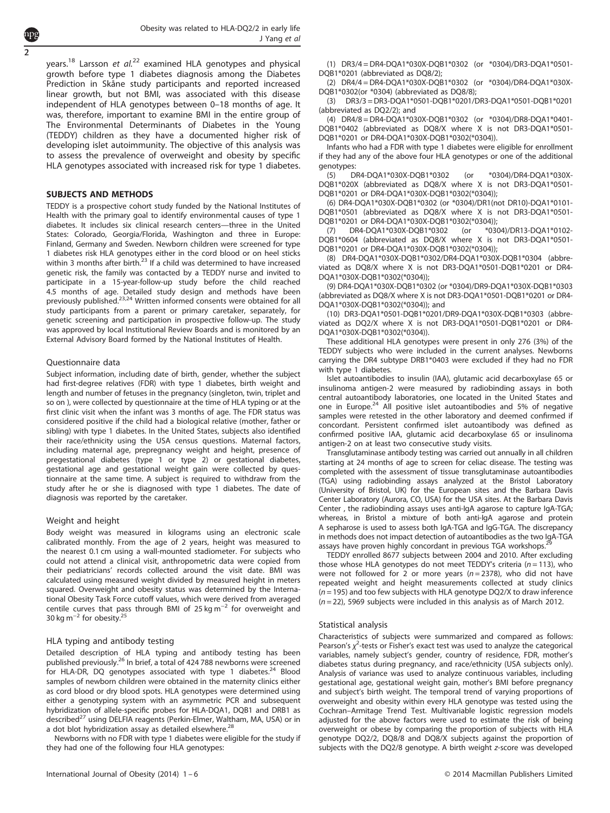years.<sup>[18](#page-4-0)</sup> Larsson et  $al^{22}$  $al^{22}$  $al^{22}$  examined HLA genotypes and physical growth before type 1 diabetes diagnosis among the Diabetes Prediction in Skåne study participants and reported increased linear growth, but not BMI, was associated with this disease independent of HLA genotypes between 0–18 months of age. It was, therefore, important to examine BMI in the entire group of The Environmental Determinants of Diabetes in the Young (TEDDY) children as they have a documented higher risk of developing islet autoimmunity. The objective of this analysis was to assess the prevalence of overweight and obesity by specific HLA genotypes associated with increased risk for type 1 diabetes.

### SUBJECTS AND METHODS

TEDDY is a prospective cohort study funded by the National Institutes of Health with the primary goal to identify environmental causes of type 1 diabetes. It includes six clinical research centers—three in the United States: Colorado, Georgia/Florida, Washington and three in Europe: Finland, Germany and Sweden. Newborn children were screened for type 1 diabetes risk HLA genotypes either in the cord blood or on heel sticks within 3 months after birth. $^{23}$  $^{23}$  $^{23}$  If a child was determined to have increased genetic risk, the family was contacted by a TEDDY nurse and invited to participate in a 15-year-follow-up study before the child reached 4.5 months of age. Detailed study design and methods have been<br>previously published.<sup>23,24</sup> Written informed consents were obtained for all study participants from a parent or primary caretaker, separately, for genetic screening and participation in prospective follow-up. The study was approved by local Institutional Review Boards and is monitored by an External Advisory Board formed by the National Institutes of Health.

## Questionnaire data

Subject information, including date of birth, gender, whether the subject had first-degree relatives (FDR) with type 1 diabetes, birth weight and length and number of fetuses in the pregnancy (singleton, twin, triplet and so on ), were collected by questionnaire at the time of HLA typing or at the first clinic visit when the infant was 3 months of age. The FDR status was considered positive if the child had a biological relative (mother, father or sibling) with type 1 diabetes. In the United States, subjects also identified their race/ethnicity using the USA census questions. Maternal factors, including maternal age, prepregnancy weight and height, presence of pregestational diabetes (type 1 or type 2) or gestational diabetes, gestational age and gestational weight gain were collected by questionnaire at the same time. A subject is required to withdraw from the study after he or she is diagnosed with type 1 diabetes. The date of diagnosis was reported by the caretaker.

### Weight and height

Body weight was measured in kilograms using an electronic scale calibrated monthly. From the age of 2 years, height was measured to the nearest 0.1 cm using a wall-mounted stadiometer. For subjects who could not attend a clinical visit, anthropometric data were copied from their pediatricians' records collected around the visit date. BMI was calculated using measured weight divided by measured height in meters squared. Overweight and obesity status was determined by the International Obesity Task Force cutoff values, which were derived from averaged centile curves that pass through BMI of 25 kg m<sup>-2</sup> for overweight and 30 kg m<sup>-2</sup> for obesity.<sup>25</sup>

### HLA typing and antibody testing

Detailed description of HLA typing and antibody testing has been published previously.[26](#page-4-0) In brief, a total of 424 788 newborns were screened for HLA-DR, DQ genotypes associated with type 1 diabetes. $24$  Blood samples of newborn children were obtained in the maternity clinics either as cord blood or dry blood spots. HLA genotypes were determined using either a genotyping system with an asymmetric PCR and subsequent hybridization of allele-specific probes for HLA-DQA1, DQB1 and DRB1 as described<sup>[27](#page-4-0)</sup> using DELFIA reagents (Perkin-Elmer, Waltham, MA, USA) or in a dot blot hybridization assay as detailed elsewhere.<sup>28</sup>

Newborns with no FDR with type 1 diabetes were eligible for the study if they had one of the following four HLA genotypes:

(1) DR3/4 = DR4-DQA1\*030X-DQB1\*0302 (or \*0304)/DR3-DQA1\*0501- DQB1\*0201 (abbreviated as DQ8/2);

(2) DR4/4 = DR4-DQA1\*030X-DQB1\*0302 (or \*0304)/DR4-DQA1\*030X-DQB1\*0302(or \*0304) (abbreviated as DQ8/8);

(3) DR3/3 = DR3-DQA1\*0501-DQB1\*0201/DR3-DQA1\*0501-DQB1\*0201 (abbreviated as DQ2/2); and

(4) DR4/8 = DR4-DQA1\*030X-DQB1\*0302 (or \*0304)/DR8-DQA1\*0401- DQB1\*0402 (abbreviated as DQ8/X where X is not DR3-DQA1\*0501- DQB1\*0201 or DR4-DQA1\*030X-DQB1\*0302(\*0304)).

Infants who had a FDR with type 1 diabetes were eligible for enrollment if they had any of the above four HLA genotypes or one of the additional genotypes:

(5) DR4-DQA1\*030X-DQB1\*0302 (or \*0304)/DR4-DQA1\*030X-DQB1\*020X (abbreviated as DQ8/X where X is not DR3-DQA1\*0501- DQB1\*0201 or DR4-DQA1\*030X-DQB1\*0302(\*0304));

(6) DR4-DQA1\*030X-DQB1\*0302 (or \*0304)/DR1(not DR10)-DQA1\*0101- DQB1\*0501 (abbreviated as DQ8/X where X is not DR3-DQA1\*0501- DQB1\*0201 or DR4-DQA1\*030X-DQB1\*0302(\*0304));<br>(7) DR4-DQA1\*030X-DQB1\*0302 (or \*0304)/DR13-DQA1\*0102-

(7) DR4-DQA1\*030X-DQB1\*0302 (or DQB1\*0604 (abbreviated as DQ8/X where X is not DR3-DQA1\*0501- DQB1\*0201 or DR4-DQA1\*030X-DQB1\*0302(\*0304));

(8) DR4-DQA1\*030X-DQB1\*0302/DR4-DQA1\*030X-DQB1\*0304 (abbreviated as DQ8/X where X is not DR3-DQA1\*0501-DQB1\*0201 or DR4- DQA1\*030X-DQB1\*0302(\*0304));

(9) DR4-DQA1\*030X-DQB1\*0302 (or \*0304)/DR9-DQA1\*030X-DQB1\*0303 (abbreviated as DQ8/X where X is not DR3-DQA1\*0501-DQB1\*0201 or DR4- DQA1\*030X-DQB1\*0302(\*0304)); and

(10) DR3-DQA1\*0501-DQB1\*0201/DR9-DQA1\*030X-DQB1\*0303 (abbreviated as DQ2/X where X is not DR3-DQA1\*0501-DQB1\*0201 or DR4- DQA1\*030X-DQB1\*0302(\*0304)).

These additional HLA genotypes were present in only 276 (3%) of the TEDDY subjects who were included in the current analyses. Newborns carrying the DR4 subtype DRB1\*0403 were excluded if they had no FDR with type 1 diabetes.

Islet autoantibodies to insulin (IAA), glutamic acid decarboxylase 65 or insulinoma antigen-2 were measured by radiobinding assays in both central autoantibody laboratories, one located in the United States and one in Europe.<sup>[24](#page-4-0)</sup> All positive islet autoantibodies and 5% of negative samples were retested in the other laboratory and deemed confirmed if concordant. Persistent confirmed islet autoantibody was defined as confirmed positive IAA, glutamic acid decarboxylase 65 or insulinoma antigen-2 on at least two consecutive study visits.

Transglutaminase antibody testing was carried out annually in all children starting at 24 months of age to screen for celiac disease. The testing was completed with the assessment of tissue transglutaminase autoantibodies (TGA) using radiobinding assays analyzed at the Bristol Laboratory (University of Bristol, UK) for the European sites and the Barbara Davis Center Laboratory (Aurora, CO, USA) for the USA sites. At the Barbara Davis Center , the radiobinding assays uses anti-IgA agarose to capture IgA-TGA; whereas, in Bristol a mixture of both anti-IgA agarose and protein A sepharose is used to assess both IgA-TGA and IgG-TGA. The discrepancy in methods does not impact detection of autoantibodies as the two IgA-TGA assays have proven highly concordant in previous TGA workshops.

TEDDY enrolled 8677 subjects between 2004 and 2010. After excluding those whose HLA genotypes do not meet TEDDY's criteria ( $n = 113$ ), who were not followed for 2 or more years ( $n = 2378$ ), who did not have repeated weight and height measurements collected at study clinics  $(n = 195)$  and too few subjects with HLA genotype DQ2/X to draw inference  $(n = 22)$ , 5969 subjects were included in this analysis as of March 2012.

### Statistical analysis

Characteristics of subjects were summarized and compared as follows: Pearson's  $\chi^2$ -tests or Fisher's exact test was used to analyze the categorical variables, namely subject's gender, country of residence, FDR, mother's diabetes status during pregnancy, and race/ethnicity (USA subjects only). Analysis of variance was used to analyze continuous variables, including gestational age, gestational weight gain, mother's BMI before pregnancy and subject's birth weight. The temporal trend of varying proportions of overweight and obesity within every HLA genotype was tested using the Cochran–Armitage Trend Test. Multivariable logistic regression models adjusted for the above factors were used to estimate the risk of being overweight or obese by comparing the proportion of subjects with HLA genotype DQ2/2, DQ8/8 and DQ8/X subjects against the proportion of subjects with the DQ2/8 genotype. A birth weight z-score was developed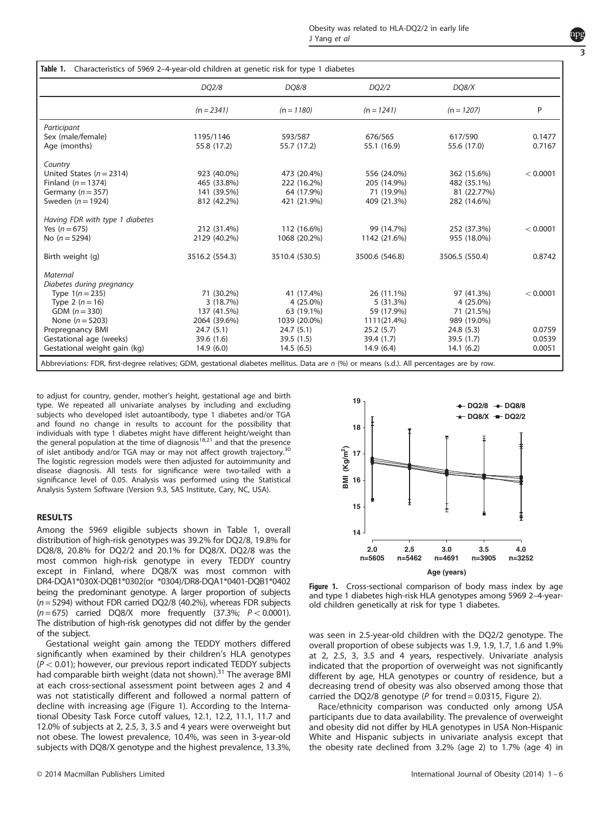|                                 | DQ2/8          | DQ8/8          | DQ2/2          | DQ8/X          |          |
|---------------------------------|----------------|----------------|----------------|----------------|----------|
|                                 | $(n = 2341)$   | $(n = 1180)$   | $(n = 1241)$   | $(n = 1207)$   | P        |
| Participant                     |                |                |                |                |          |
| Sex (male/female)               | 1195/1146      | 593/587        | 676/565        | 617/590        | 0.1477   |
| Age (months)                    | 55.8 (17.2)    | 55.7 (17.2)    | 55.1 (16.9)    | 55.6 (17.0)    | 0.7167   |
| Country                         |                |                |                |                |          |
| United States ( $n = 2314$ )    | 923 (40.0%)    | 473 (20.4%)    | 556 (24.0%)    | 362 (15.6%)    | < 0.0001 |
| Finland ( $n = 1374$ )          | 465 (33.8%)    | 222 (16.2%)    | 205 (14.9%)    | 482 (35.1%)    |          |
| Germany ( $n = 357$ )           | 141 (39.5%)    | 64 (17.9%)     | 71 (19.9%)     | 81 (22.77%)    |          |
| Sweden ( $n = 1924$ )           | 812 (42.2%)    | 421 (21.9%)    | 409 (21.3%)    | 282 (14.6%)    |          |
| Having FDR with type 1 diabetes |                |                |                |                |          |
| Yes $(n = 675)$                 | 212 (31.4%)    | 112 (16.6%)    | 99 (14.7%)     | 252 (37.3%)    | < 0.0001 |
| No $(n = 5294)$                 | 2129 (40.2%)   | 1068 (20.2%)   | 1142 (21.6%)   | 955 (18.0%)    |          |
| Birth weight (g)                | 3516.2 (554.3) | 3510.4 (530.5) | 3500.6 (546.8) | 3506.5 (550.4) | 0.8742   |
| Maternal                        |                |                |                |                |          |
| Diabetes during pregnancy       |                |                |                |                |          |
| Type $1(n = 235)$               | 71 (30.2%)     | 41 (17.4%)     | 26 (11.1%)     | 97 (41.3%)     | < 0.0001 |
| Type 2 $(n = 16)$               | 3(18.7%)       | 4 (25.0%)      | 5(31.3%)       | $4(25.0\%)$    |          |
| GDM $(n = 330)$                 | 137 (41.5%)    | 63 (19.1%)     | 59 (17.9%)     | 71 (21.5%)     |          |
| None ( $n = 5203$ )             | 2064 (39.6%)   | 1039 (20.0%)   | 1111(21.4%)    | 989 (19.0%)    |          |
| Prepregnancy BMI                | 24.7(5.1)      | 24.7(5.1)      | 25.2(5.7)      | 24.8(5.3)      | 0.0759   |
| Gestational age (weeks)         | 39.6 (1.6)     | 39.5(1.5)      | 39.4 (1.7)     | 39.5(1.7)      | 0.0539   |
| Gestational weight gain (kg)    | 14.9(6.0)      | 14.5(6.5)      | 14.9(6.4)      | 14.1(6.2)      | 0.0051   |

to adjust for country, gender, mother's height, gestational age and birth type. We repeated all univariate analyses by including and excluding subjects who developed islet autoantibody, type 1 diabetes and/or TGA and found no change in results to account for the possibility that individuals with type 1 diabetes might have different height/weight than the general population at the time of diagnosis $18,21$  $18,21$  and that the presence of islet antibody and/or TGA may or may not affect growth trajectory.<sup>[30](#page-4-0)</sup> The logistic regression models were then adjusted for autoimmunity and disease diagnosis. All tests for significance were two-tailed with a significance level of 0.05. Analysis was performed using the Statistical Analysis System Software (Version 9.3, SAS Institute, Cary, NC, USA).

## RESULTS

Among the 5969 eligible subjects shown in Table 1, overall distribution of high-risk genotypes was 39.2% for DQ2/8, 19.8% for DQ8/8, 20.8% for DQ2/2 and 20.1% for DQ8/X. DQ2/8 was the most common high-risk genotype in every TEDDY country except in Finland, where DQ8/X was most common with DR4-DQA1\*030X-DQB1\*0302(or \*0304)/DR8-DQA1\*0401-DQB1\*0402 being the predominant genotype. A larger proportion of subjects (n= 5294) without FDR carried DQ2/8 (40.2%), whereas FDR subjects  $(n= 675)$  carried DQ8/X more frequently (37.3%;  $P < 0.0001$ ). The distribution of high-risk genotypes did not differ by the gender of the subject.

Gestational weight gain among the TEDDY mothers differed significantly when examined by their children's HLA genotypes  $(P < 0.01)$ ; however, our previous report indicated TEDDY subjects had comparable birth weight (data not shown).<sup>[31](#page-4-0)</sup> The average BMI at each cross-sectional assessment point between ages 2 and 4 was not statistically different and followed a normal pattern of decline with increasing age (Figure 1). According to the International Obesity Task Force cutoff values, 12.1, 12.2, 11.1, 11.7 and 12.0% of subjects at 2, 2.5, 3, 3.5 and 4 years were overweight but not obese. The lowest prevalence, 10.4%, was seen in 3-year-old subjects with DQ8/X genotype and the highest prevalence, 13.3%,



Figure 1. Cross-sectional comparison of body mass index by age and type 1 diabetes high-risk HLA genotypes among 5969 2–4-yearold children genetically at risk for type 1 diabetes.

was seen in 2.5-year-old children with the DQ2/2 genotype. The overall proportion of obese subjects was 1.9, 1.9, 1.7, 1.6 and 1.9% at 2, 2.5, 3, 3.5 and 4 years, respectively. Univariate analysis indicated that the proportion of overweight was not significantly different by age, HLA genotypes or country of residence, but a decreasing trend of obesity was also observed among those that carried the DQ2/8 genotype ( $P$  for trend = 0.0315, [Figure 2](#page-3-0)).

Race/ethnicity comparison was conducted only among USA participants due to data availability. The prevalence of overweight and obesity did not differ by HLA genotypes in USA Non-Hispanic White and Hispanic subjects in univariate analysis except that the obesity rate declined from 3.2% (age 2) to 1.7% (age 4) in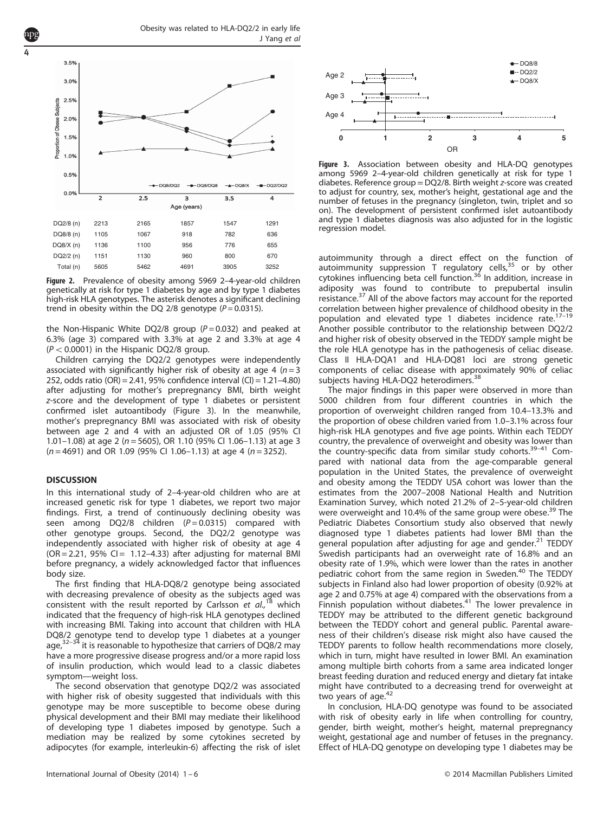

Figure 2. Prevalence of obesity among 5969 2-4-year-old children genetically at risk for type 1 diabetes by age and by type 1 diabetes high-risk HLA genotypes. The asterisk denotes a significant declining trend in obesity within the DQ 2/8 genotype ( $P = 0.0315$ ).

the Non-Hispanic White DQ2/8 group  $(P = 0.032)$  and peaked at 6.3% (age 3) compared with 3.3% at age 2 and 3.3% at age 4  $(P < 0.0001)$  in the Hispanic DQ2/8 group.

Children carrying the DQ2/2 genotypes were independently associated with significantly higher risk of obesity at age 4 ( $n = 3$ 252, odds ratio (OR) = 2.41, 95% confidence interval (CI) = 1.21–4.80) after adjusting for mother's prepregnancy BMI, birth weight z-score and the development of type 1 diabetes or persistent confirmed islet autoantibody (Figure 3). In the meanwhile, mother's prepregnancy BMI was associated with risk of obesity between age 2 and 4 with an adjusted OR of 1.05 (95% CI 1.01–1.08) at age 2 ( $n = 5605$ ), OR 1.10 (95% CI 1.06–1.13) at age 3  $(n = 4691)$  and OR 1.09 (95% CI 1.06-1.13) at age 4 (n = 3252).

### **DISCUSSION**

<span id="page-3-0"></span>4

In this international study of 2–4-year-old children who are at increased genetic risk for type 1 diabetes, we report two major findings. First, a trend of continuously declining obesity was seen among  $DQ2/8$  children  $(P = 0.0315)$  compared with other genotype groups. Second, the DQ2/2 genotype was independently associated with higher risk of obesity at age 4  $(OR = 2.21, 95\% CI = 1.12-4.33)$  after adjusting for maternal BMI before pregnancy, a widely acknowledged factor that influences body size.

The first finding that HLA-DQ8/2 genotype being associated with decreasing prevalence of obesity as the subjects aged was consistent with the result reported by Carlsson et  $al$ ,<sup>[18](#page-4-0)</sup> which indicated that the frequency of high-risk HLA genotypes declined with increasing BMI. Taking into account that children with HLA DQ8/2 genotype tend to develop type 1 diabetes at a younger age,[32](#page-4-0)–<sup>34</sup> it is reasonable to hypothesize that carriers of DQ8/2 may have a more progressive disease progress and/or a more rapid loss of insulin production, which would lead to a classic diabetes symptom—weight loss.

The second observation that genotype DQ2/2 was associated with higher risk of obesity suggested that individuals with this genotype may be more susceptible to become obese during physical development and their BMI may mediate their likelihood of developing type 1 diabetes imposed by genotype. Such a mediation may be realized by some cytokines secreted by adipocytes (for example, interleukin-6) affecting the risk of islet



Figure 3. Association between obesity and HLA-DQ genotypes among 5969 2–4-year-old children genetically at risk for type 1 diabetes. Reference group =DQ2/8. Birth weight z-score was created to adjust for country, sex, mother's height, gestational age and the number of fetuses in the pregnancy (singleton, twin, triplet and so on). The development of persistent confirmed islet autoantibody and type 1 diabetes diagnosis was also adjusted for in the logistic regression model.

autoimmunity through a direct effect on the function of autoimmunity suppression  $T$  regulatory cells,  $35$  or by other cytokines influencing beta cell function.[36](#page-4-0) In addition, increase in adiposity was found to contribute to prepubertal insulin resistance.<sup>37</sup> All of the above factors may account for the reported correlation between higher prevalence of childhood obesity i[n the](#page-4-0) population and elevated type 1 diabetes incidence rate.<sup>17-19</sup> Another possible contributor to the relationship between DQ2/2 and higher risk of obesity observed in the TEDDY sample might be the role HLA genotype has in the pathogenesis of celiac disease. Class II HLA-DQA1 and HLA-DQ81 loci are strong genetic components of celiac disease with approximately 90% of celiac subjects having HLA-DQ2 heterodimers.<sup>[38](#page-4-0)</sup>

The major findings in this paper were observed in more than 5000 children from four different countries in which the proportion of overweight children ranged from 10.4–13.3% and the proportion of obese children varied from 1.0–3.1% across four high-risk HLA genotypes and five age points. Within each TEDDY country, the prevalence of overweight and obesity was [lowe](#page-5-0)r than the country-specific data from similar study cohorts.39–<sup>41</sup> Compared with national data from the age-comparable general population in the United States, the prevalence of overweight and obesity among the TEDDY USA cohort was lower than the estimates from the 2007–2008 National Health and Nutrition Examination Survey, which noted 21.2% of 2–5-year-old children were overweight and 10.4% of the same group were obese.<sup>39</sup> The Pediatric Diabetes Consortium study also observed that newly diagnosed type 1 diabetes patients had lower BMI than the general population after adjusting for age and gender.<sup>[21](#page-4-0)</sup> TEDDY Swedish participants had an overweight rate of 16.8% and an obesity rate of 1.9%, which were lower than the rates in another pediatric cohort from the same region in Sweden.<sup>40</sup> The TEDDY subjects in Finland also had lower proportion of obesity (0.92% at age 2 and 0.75% at age 4) compared with the observations from a Finnish population without diabetes. $41$  The lower prevalence in TEDDY may be attributed to the different genetic background between the TEDDY cohort and general public. Parental awareness of their children's disease risk might also have caused the TEDDY parents to follow health recommendations more closely, which in turn, might have resulted in lower BMI. An examination among multiple birth cohorts from a same area indicated longer breast feeding duration and reduced energy and dietary fat intake might have contributed to a decreasing trend for overweight at two years of age. $42$ 

In conclusion, HLA-DQ genotype was found to be associated with risk of obesity early in life when controlling for country, gender, birth weight, mother's height, maternal prepregnancy weight, gestational age and number of fetuses in the pregnancy. Effect of HLA-DQ genotype on developing type 1 diabetes may be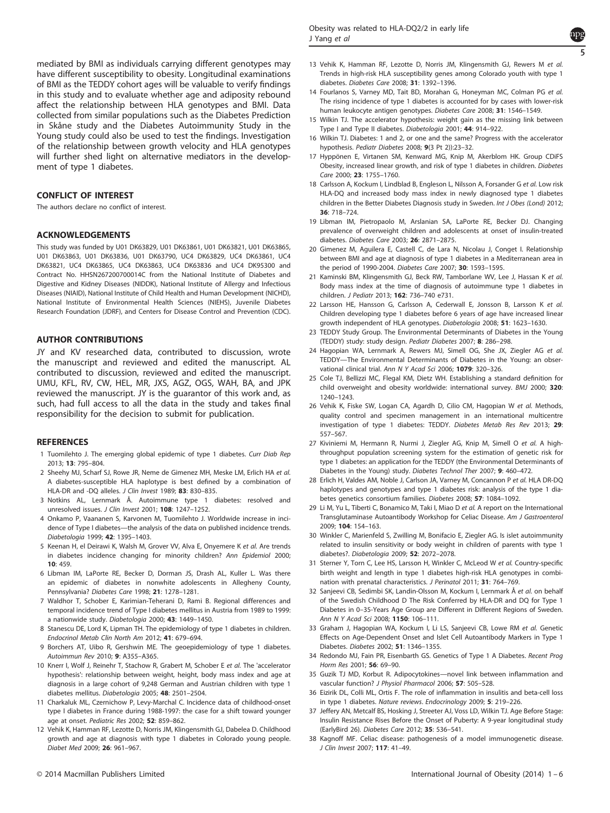

<span id="page-4-0"></span>mediated by BMI as individuals carrying different genotypes may have different susceptibility to obesity. Longitudinal examinations of BMI as the TEDDY cohort ages will be valuable to verify findings in this study and to evaluate whether age and adiposity rebound affect the relationship between HLA genotypes and BMI. Data collected from similar populations such as the Diabetes Prediction in Skåne study and the Diabetes Autoimmunity Study in the Young study could also be used to test the findings. Investigation of the relationship between growth velocity and HLA genotypes will further shed light on alternative mediators in the development of type 1 diabetes.

# CONFLICT OF INTEREST

The authors declare no conflict of interest.

## ACKNOWLEDGEMENTS

This study was funded by U01 DK63829, U01 DK63861, U01 DK63821, U01 DK63865, U01 DK63863, U01 DK63836, U01 DK63790, UC4 DK63829, UC4 DK63861, UC4 DK63821, UC4 DK63865, UC4 DK63863, UC4 DK63836 and UC4 DK95300 and Contract No. HHSN267200700014C from the National Institute of Diabetes and Digestive and Kidney Diseases (NIDDK), National Institute of Allergy and Infectious Diseases (NIAID), National Institute of Child Health and Human Development (NICHD), National Institute of Environmental Health Sciences (NIEHS), Juvenile Diabetes Research Foundation (JDRF), and Centers for Disease Control and Prevention (CDC).

## AUTHOR CONTRIBUTIONS

JY and KV researched data, contributed to discussion, wrote the manuscript and reviewed and edited the manuscript. AL contributed to discussion, reviewed and edited the manuscript. UMU, KFL, RV, CW, HEL, MR, JXS, AGZ, OGS, WAH, BA, and JPK reviewed the manuscript. JY is the guarantor of this work and, as such, had full access to all the data in the study and takes final responsibility for the decision to submit for publication.

## **REFERENCES**

- 1 Tuomilehto J. The emerging global epidemic of type 1 diabetes. Curr Diab Rep 2013; 13: 795–804.
- 2 Sheehy MJ, Scharf SJ, Rowe JR, Neme de Gimenez MH, Meske LM, Erlich HA et al. A diabetes-susceptible HLA haplotype is best defined by a combination of HLA-DR and -DO alleles. J Clin Invest 1989: 83: 830-835.
- 3 Notkins AL, Lernmark Å. Autoimmune type 1 diabetes: resolved and unresolved issues. J Clin Invest 2001; 108: 1247–1252.
- 4 Onkamo P, Vaananen S, Karvonen M, Tuomilehto J. Worldwide increase in incidence of Type I diabetes—the analysis of the data on published incidence trends. Diabetologia 1999; 42: 1395–1403.
- 5 Keenan H, el Deirawi K, Walsh M, Grover VV, Alva E, Onyemere K et al. Are trends in diabetes incidence changing for minority children? Ann Epidemiol 2000;  $10: 459$
- 6 Libman IM, LaPorte RE, Becker D, Dorman JS, Drash AL, Kuller L. Was there an epidemic of diabetes in nonwhite adolescents in Allegheny County, Pennsylvania? Diabetes Care 1998; 21: 1278–1281.
- 7 Waldhor T, Schober E, Karimian-Teherani D, Rami B. Regional differences and temporal incidence trend of Type I diabetes mellitus in Austria from 1989 to 1999: a nationwide study. Diabetologia 2000; 43: 1449–1450.
- 8 Stanescu DE, Lord K, Lipman TH. The epidemiology of type 1 diabetes in children. Endocrinol Metab Clin North Am 2012; 41: 679–694.
- 9 Borchers AT, Uibo R, Gershwin ME. The geoepidemiology of type 1 diabetes. Autoimmun Rev 2010; 9: A355–A365.
- 10 Knerr I, Wolf J, Reinehr T, Stachow R, Grabert M, Schober E et al. The 'accelerator hypothesis': relationship between weight, height, body mass index and age at diagnosis in a large cohort of 9,248 German and Austrian children with type 1 diabetes mellitus. Diabetologia 2005; 48: 2501–2504.
- 11 Charkaluk ML, Czernichow P, Levy-Marchal C. Incidence data of childhood-onset type I diabetes in France during 1988-1997: the case for a shift toward younger age at onset. Pediatric Res 2002; 52: 859-862.
- 12 Vehik K, Hamman RF, Lezotte D, Norris JM, Klingensmith GJ, Dabelea D. Childhood growth and age at diagnosis with type 1 diabetes in Colorado young people. Diabet Med 2009; 26: 961–967.
- 13 Vehik K, Hamman RF, Lezotte D, Norris JM, Klingensmith GJ, Rewers M et al. Trends in high-risk HLA susceptibility genes among Colorado youth with type 1 diabetes. Diabetes Care 2008; 31: 1392–1396.
- 14 Fourlanos S, Varney MD, Tait BD, Morahan G, Honeyman MC, Colman PG et al. The rising incidence of type 1 diabetes is accounted for by cases with lower-risk human leukocyte antigen genotypes. Diabetes Care 2008; 31: 1546–1549.
- 15 Wilkin TJ. The accelerator hypothesis: weight gain as the missing link between Type I and Type II diabetes. Diabetologia 2001; 44: 914–922.
- 16 Wilkin TJ. Diabetes: 1 and 2, or one and the same? Progress with the accelerator hypothesis. Pediatr Diabetes 2008; 9(3 Pt 2)):23–32.
- 17 Hyppönen E, Virtanen SM, Kenward MG, Knip M, Akerblom HK. Group CDiFS Obesity, increased linear growth, and risk of type 1 diabetes in children. Diabetes Care 2000; 23: 1755–1760.
- 18 Carlsson A, Kockum I, Lindblad B, Engleson L, Nilsson A, Forsander G et al. Low risk HLA-DQ and increased body mass index in newly diagnosed type 1 diabetes children in the Better Diabetes Diagnosis study in Sweden. Int J Obes (Lond) 2012; 36: 718–724.
- 19 Libman IM, Pietropaolo M, Arslanian SA, LaPorte RE, Becker DJ. Changing prevalence of overweight children and adolescents at onset of insulin-treated diabetes. Diabetes Care 2003; 26: 2871–2875.
- 20 Gimenez M, Aguilera E, Castell C, de Lara N, Nicolau J, Conget I. Relationship between BMI and age at diagnosis of type 1 diabetes in a Mediterranean area in the period of 1990-2004. Diabetes Care 2007; 30: 1593–1595.
- 21 Kaminski BM, Klingensmith GJ, Beck RW, Tamborlane WV, Lee J, Hassan K et al. Body mass index at the time of diagnosis of autoimmune type 1 diabetes in children. J Pediatr 2013; 162: 736–740 e731.
- 22 Larsson HE, Hansson G, Carlsson A, Cederwall E, Jonsson B, Larsson K et al. Children developing type 1 diabetes before 6 years of age have increased linear growth independent of HLA genotypes. Diabetologia 2008; 51: 1623–1630.
- 23 TEDDY Study Group. The Environmental Determinants of Diabetes in the Young (TEDDY) study: study design. Pediatr Diabetes 2007; 8: 286–298.
- 24 Hagopian WA, Lernmark A, Rewers MJ, Simell OG, She JX, Ziegler AG et al. TEDDY—The Environmental Determinants of Diabetes in the Young: an observational clinical trial. Ann N Y Acad Sci 2006; 1079: 320–326.
- 25 Cole TJ, Bellizzi MC, Flegal KM, Dietz WH. Establishing a standard definition for child overweight and obesity worldwide: international survey. BMJ 2000; 320: 1240–1243.
- 26 Vehik K, Fiske SW, Logan CA, Agardh D, Cilio CM, Hagopian W et al. Methods, quality control and specimen management in an international multicentre investigation of type 1 diabetes: TEDDY. Diabetes Metab Res Rev 2013; 29: 557–567.
- 27 Kiviniemi M, Hermann R, Nurmi J, Ziegler AG, Knip M, Simell O et al. A highthroughput population screening system for the estimation of genetic risk for type 1 diabetes: an application for the TEDDY (the Environmental Determinants of Diabetes in the Young) study. Diabetes Technol Ther 2007; 9: 460–472.
- 28 Erlich H, Valdes AM, Noble J, Carlson JA, Varney M, Concannon P et al. HLA DR-DQ haplotypes and genotypes and type 1 diabetes risk: analysis of the type 1 diabetes genetics consortium families. Diabetes 2008; 57: 1084–1092.
- 29 Li M, Yu L, Tiberti C, Bonamico M, Taki I, Miao D et al. A report on the International Transglutaminase Autoantibody Workshop for Celiac Disease. Am J Gastroenterol 2009; 104: 154–163.
- 30 Winkler C, Marienfeld S, Zwilling M, Bonifacio E, Ziegler AG. Is islet autoimmunity related to insulin sensitivity or body weight in children of parents with type 1 diabetes?. Diabetologia 2009; 52: 2072–2078.
- 31 Sterner Y, Torn C, Lee HS, Larsson H, Winkler C, McLeod W et al. Country-specific birth weight and length in type 1 diabetes high-risk HLA genotypes in combination with prenatal characteristics. J Perinatol 2011; 31: 764–769.
- 32 Sanjeevi CB, Sedimbi SK, Landin-Olsson M, Kockum I, Lernmark Å et al. on behalf of the Swedish Childhood D The Risk Conferred by HLA-DR and DQ for Type 1 Diabetes in 0–35-Years Age Group are Different in Different Regions of Sweden. Ann N Y Acad Sci 2008; 1150: 106–111.
- 33 Graham J, Hagopian WA, Kockum I, Li LS, Sanjeevi CB, Lowe RM et al. Genetic Effects on Age-Dependent Onset and Islet Cell Autoantibody Markers in Type 1 Diabetes. Diabetes 2002; 51: 1346–1355.
- 34 Redondo MJ, Fain PR, Eisenbarth GS. Genetics of Type 1 A Diabetes. Recent Prog Horm Res 2001; 56: 69–90.
- 35 Guzik TJ MD, Korbut R. Adipocytokines—novel link between inflammation and vascular function? J Physiol Pharmacol 2006; 57: 505–528.
- 36 Eizirik DL, Colli ML, Ortis F. The role of inflammation in insulitis and beta-cell loss in type 1 diabetes. Nature reviews. Endocrinology 2009; 5: 219–226.
- 37 Jeffery AN, Metcalf BS, Hosking J, Streeter AJ, Voss LD, Wilkin TJ. Age Before Stage: Insulin Resistance Rises Before the Onset of Puberty: A 9-year longitudinal study (EarlyBird 26). Diabetes Care 2012; 35: 536–541.
- 38 Kagnoff MF. Celiac disease: pathogenesis of a model immunogenetic disease. J Clin Invest 2007; 117: 41–49.